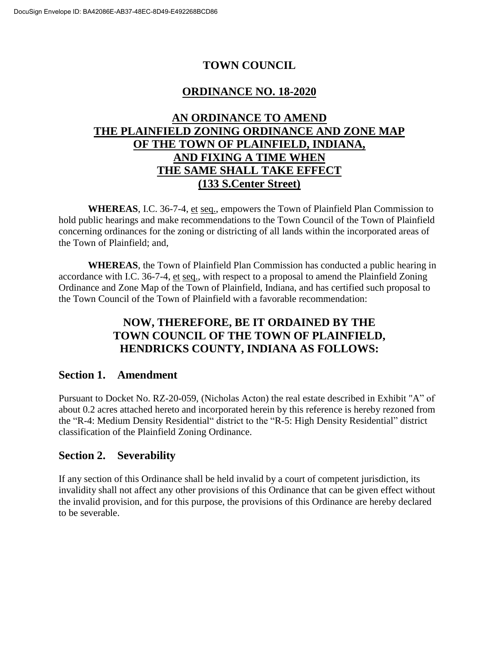# **TOWN COUNCIL**

## **ORDINANCE NO. 18-2020**

## **AN ORDINANCE TO AMEND THE PLAINFIELD ZONING ORDINANCE AND ZONE MAP OF THE TOWN OF PLAINFIELD, INDIANA, AND FIXING A TIME WHEN THE SAME SHALL TAKE EFFECT (133 S.Center Street)**

**WHEREAS**, I.C. 36-7-4, et seq., empowers the Town of Plainfield Plan Commission to hold public hearings and make recommendations to the Town Council of the Town of Plainfield concerning ordinances for the zoning or districting of all lands within the incorporated areas of the Town of Plainfield; and,

**WHEREAS**, the Town of Plainfield Plan Commission has conducted a public hearing in accordance with I.C. 36-7-4, et seq., with respect to a proposal to amend the Plainfield Zoning Ordinance and Zone Map of the Town of Plainfield, Indiana, and has certified such proposal to the Town Council of the Town of Plainfield with a favorable recommendation:

## **NOW, THEREFORE, BE IT ORDAINED BY THE TOWN COUNCIL OF THE TOWN OF PLAINFIELD, HENDRICKS COUNTY, INDIANA AS FOLLOWS:**

### **Section 1. Amendment**

Pursuant to Docket No. RZ-20-059, (Nicholas Acton) the real estate described in Exhibit "A" of about 0.2 acres attached hereto and incorporated herein by this reference is hereby rezoned from the "R-4: Medium Density Residential" district to the "R-5: High Density Residential" district classification of the Plainfield Zoning Ordinance.

### **Section 2. Severability**

If any section of this Ordinance shall be held invalid by a court of competent jurisdiction, its invalidity shall not affect any other provisions of this Ordinance that can be given effect without the invalid provision, and for this purpose, the provisions of this Ordinance are hereby declared to be severable.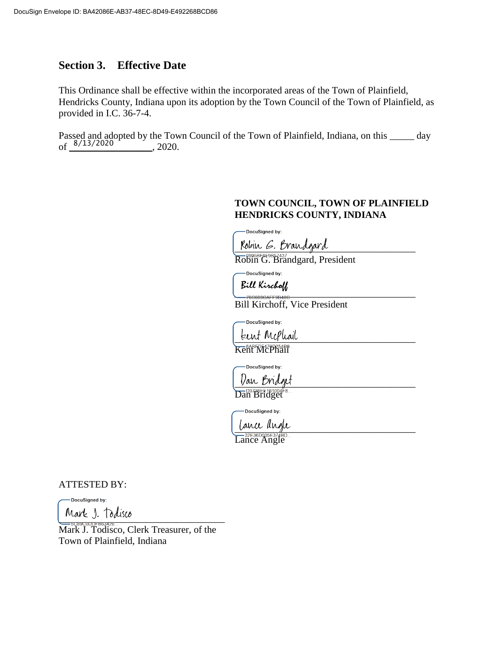### **Section 3. Effective Date**

This Ordinance shall be effective within the incorporated areas of the Town of Plainfield, Hendricks County, Indiana upon its adoption by the Town Council of the Town of Plainfield, as provided in I.C. 36-7-4.

Passed and adopted by the Town Council of the Town of Plainfield, Indiana, on this \_\_\_\_\_ day of  $\frac{8/13/2020}{\sqrt{10}}$ , 2020.

#### **TOWN COUNCIL, TOWN OF PLAINFIELD HENDRICKS COUNTY, INDIANA**

DocuSianed by:

Robin G. Brandgard

Robin G. Brandgard, President

-DocuSigned by:

Bill Kirchoff<br>——78660864F50486

Bill Kirchoff, Vice President

DocuSigned by:

teent Mephail

Kent McPhail

-DocuSigned by:

Van Bridget Dan Bridget

DocuSigned by:

\_\_\_\_\_\_\_\_\_\_\_\_\_\_\_\_\_\_\_\_\_\_\_\_\_\_\_\_\_\_\_\_\_\_\_\_\_

Lance Angle

ATTESTED BY:

DocuSigned by:  $VUUV$   $J.$   $100000$ 

Mark J. Todisco, Clerk Treasurer, of the Town of Plainfield, Indiana